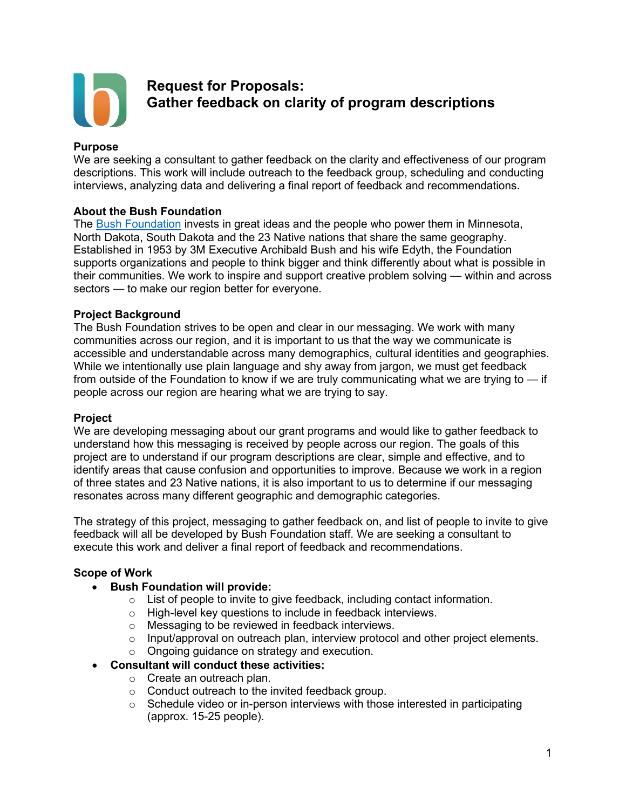

# **Request for Proposals: Gather feedback on clarity of program descriptions**

#### **Purpose**

We are seeking a consultant to gather feedback on the clarity and effectiveness of our program descriptions. This work will include outreach to the feedback group, scheduling and conducting interviews, analyzing data and delivering a final report of feedback and recommendations.

### **About the Bush Foundation**

The [Bush Foundation](https://www.bushfoundation.org/) invests in great ideas and the people who power them in Minnesota, North Dakota, South Dakota and the 23 Native nations that share the same geography. Established in 1953 by 3M Executive Archibald Bush and his wife Edyth, the Foundation supports organizations and people to think bigger and think differently about what is possible in their communities. We work to inspire and support creative problem solving — within and across sectors — to make our region better for everyone.

#### **Project Background**

The Bush Foundation strives to be open and clear in our messaging. We work with many communities across our region, and it is important to us that the way we communicate is accessible and understandable across many demographics, cultural identities and geographies. While we intentionally use plain language and shy away from jargon, we must get feedback from outside of the Foundation to know if we are truly communicating what we are trying to — if people across our region are hearing what we are trying to say.

#### **Project**

We are developing messaging about our grant programs and would like to gather feedback to understand how this messaging is received by people across our region. The goals of this project are to understand if our program descriptions are clear, simple and effective, and to identify areas that cause confusion and opportunities to improve. Because we work in a region of three states and 23 Native nations, it is also important to us to determine if our messaging resonates across many different geographic and demographic categories.

The strategy of this project, messaging to gather feedback on, and list of people to invite to give feedback will all be developed by Bush Foundation staff. We are seeking a consultant to execute this work and deliver a final report of feedback and recommendations.

### **Scope of Work**

- **Bush Foundation will provide:** 
	- $\circ$  List of people to invite to give feedback, including contact information.
	- o High-level key questions to include in feedback interviews.
	- o Messaging to be reviewed in feedback interviews.
	- $\circ$  Input/approval on outreach plan, interview protocol and other project elements.
	- o Ongoing guidance on strategy and execution.

#### • **Consultant will conduct these activities:**

- o Create an outreach plan.
- o Conduct outreach to the invited feedback group.
- $\circ$  Schedule video or in-person interviews with those interested in participating (approx. 15-25 people).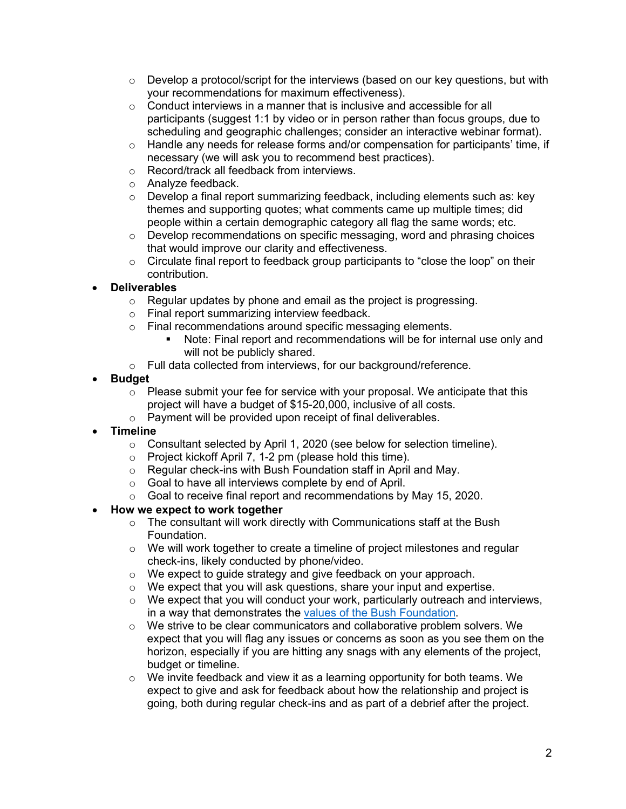- $\circ$  Develop a protocol/script for the interviews (based on our key questions, but with your recommendations for maximum effectiveness).
- o Conduct interviews in a manner that is inclusive and accessible for all participants (suggest 1:1 by video or in person rather than focus groups, due to scheduling and geographic challenges; consider an interactive webinar format).
- $\circ$  Handle any needs for release forms and/or compensation for participants' time, if necessary (we will ask you to recommend best practices).
- o Record/track all feedback from interviews.
- o Analyze feedback.<br>○ Develop a final rep
- Develop a final report summarizing feedback, including elements such as: key themes and supporting quotes; what comments came up multiple times; did people within a certain demographic category all flag the same words; etc.
- o Develop recommendations on specific messaging, word and phrasing choices that would improve our clarity and effectiveness.
- $\circ$  Circulate final report to feedback group participants to "close the loop" on their contribution.

## • **Deliverables**

- $\circ$  Regular updates by phone and email as the project is progressing.
- o Final report summarizing interview feedback.
- o Final recommendations around specific messaging elements.
	- Note: Final report and recommendations will be for internal use only and will not be publicly shared.
- o Full data collected from interviews, for our background/reference.

## • **Budget**

- $\circ$  Please submit your fee for service with your proposal. We anticipate that this project will have a budget of \$15-20,000, inclusive of all costs.
- $\circ$  Payment will be provided upon receipt of final deliverables.
- **Timeline**
	- o Consultant selected by April 1, 2020 (see below for selection timeline).
	- o Project kickoff April 7, 1-2 pm (please hold this time).
	- o Regular check-ins with Bush Foundation staff in April and May.
	- o Goal to have all interviews complete by end of April.
	- o Goal to receive final report and recommendations by May 15, 2020.

## • **How we expect to work together**

- o The consultant will work directly with Communications staff at the Bush Foundation.
- $\circ$  We will work together to create a timeline of project milestones and regular check-ins, likely conducted by phone/video.
- o We expect to guide strategy and give feedback on your approach.
- o We expect that you will ask questions, share your input and expertise.
- $\circ$  We expect that you will conduct your work, particularly outreach and interviews, in a way that demonstrates the [values of the Bush Foundation.](https://www.bushfoundation.org/our-values)
- o We strive to be clear communicators and collaborative problem solvers. We expect that you will flag any issues or concerns as soon as you see them on the horizon, especially if you are hitting any snags with any elements of the project, budget or timeline.
- $\circ$  We invite feedback and view it as a learning opportunity for both teams. We expect to give and ask for feedback about how the relationship and project is going, both during regular check-ins and as part of a debrief after the project.